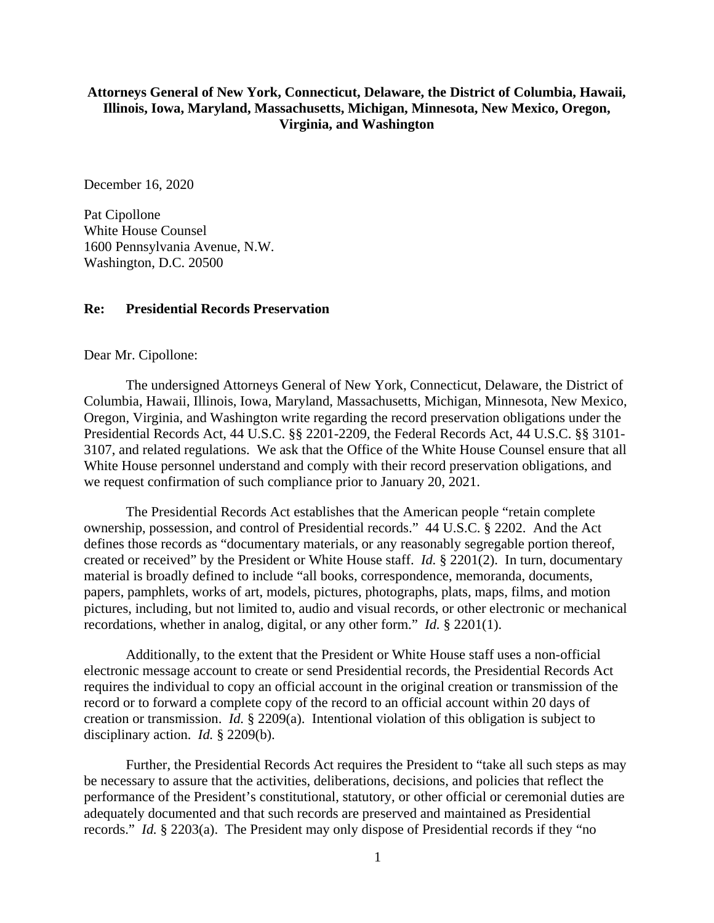## **Attorneys General of New York, Connecticut, Delaware, the District of Columbia, Hawaii, Illinois, Iowa, Maryland, Massachusetts, Michigan, Minnesota, New Mexico, Oregon, Virginia, and Washington**

December 16, 2020

Pat Cipollone White House Counsel 1600 Pennsylvania Avenue, N.W. Washington, D.C. 20500

## **Re: Presidential Records Preservation**

Dear Mr. Cipollone:

The undersigned Attorneys General of New York, Connecticut, Delaware, the District of Columbia, Hawaii, Illinois, Iowa, Maryland, Massachusetts, Michigan, Minnesota, New Mexico, Oregon, Virginia, and Washington write regarding the record preservation obligations under the Presidential Records Act, 44 U.S.C. §§ 2201-2209, the Federal Records Act, 44 U.S.C. §§ 3101- 3107, and related regulations. We ask that the Office of the White House Counsel ensure that all White House personnel understand and comply with their record preservation obligations, and we request confirmation of such compliance prior to January 20, 2021.

The Presidential Records Act establishes that the American people "retain complete ownership, possession, and control of Presidential records." 44 U.S.C. § 2202. And the Act defines those records as "documentary materials, or any reasonably segregable portion thereof, created or received" by the President or White House staff. *Id.* § 2201(2). In turn, documentary material is broadly defined to include "all books, correspondence, memoranda, documents, papers, pamphlets, works of art, models, pictures, photographs, plats, maps, films, and motion pictures, including, but not limited to, audio and visual records, or other electronic or mechanical recordations, whether in analog, digital, or any other form." *Id.* § 2201(1).

Additionally, to the extent that the President or White House staff uses a non-official electronic message account to create or send Presidential records, the Presidential Records Act requires the individual to copy an official account in the original creation or transmission of the record or to forward a complete copy of the record to an official account within 20 days of creation or transmission. *Id.* § 2209(a). Intentional violation of this obligation is subject to disciplinary action. *Id.* § 2209(b).

Further, the Presidential Records Act requires the President to "take all such steps as may be necessary to assure that the activities, deliberations, decisions, and policies that reflect the performance of the President's constitutional, statutory, or other official or ceremonial duties are adequately documented and that such records are preserved and maintained as Presidential records." *Id.* § 2203(a). The President may only dispose of Presidential records if they "no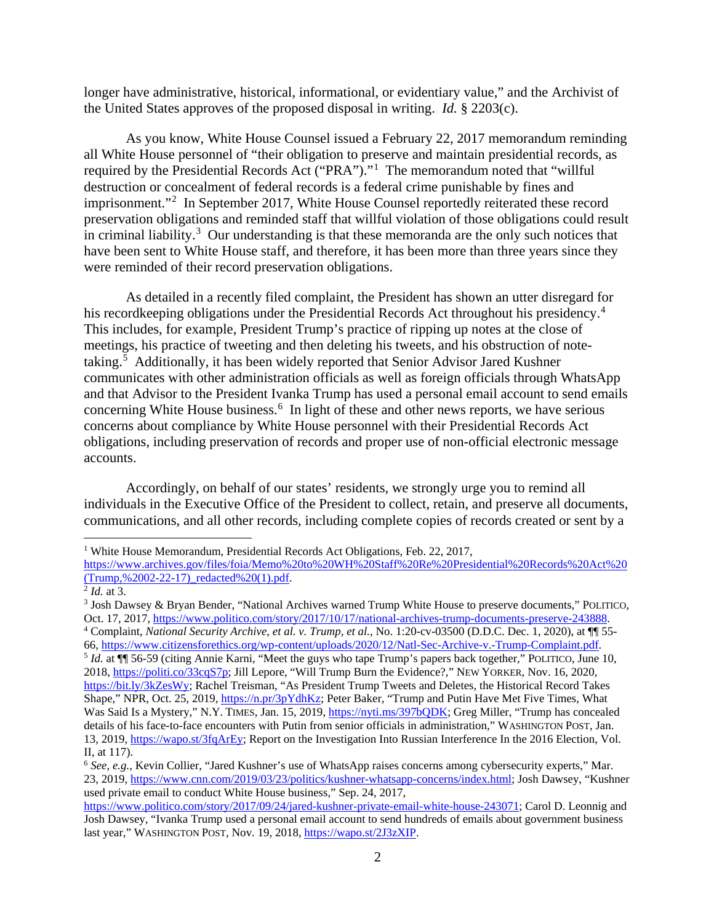longer have administrative, historical, informational, or evidentiary value," and the Archivist of the United States approves of the proposed disposal in writing. *Id.* § 2203(c).

As you know, White House Counsel issued a February 22, 2017 memorandum reminding all White House personnel of "their obligation to preserve and maintain presidential records, as required by the Presidential Records Act ("PRA")."<sup>[1](#page-1-0)</sup> The memorandum noted that "willful destruction or concealment of federal records is a federal crime punishable by fines and imprisonment."[2](#page-1-1) In September 2017, White House Counsel reportedly reiterated these record preservation obligations and reminded staff that willful violation of those obligations could result in criminal liability.<sup>[3](#page-1-2)</sup> Our understanding is that these memoranda are the only such notices that have been sent to White House staff, and therefore, it has been more than three years since they were reminded of their record preservation obligations.

As detailed in a recently filed complaint, the President has shown an utter disregard for his recordkeeping obligations under the Presidential Records Act throughout his presidency.<sup>[4](#page-1-3)</sup> This includes, for example, President Trump's practice of ripping up notes at the close of meetings, his practice of tweeting and then deleting his tweets, and his obstruction of notetaking.[5](#page-1-4) Additionally, it has been widely reported that Senior Advisor Jared Kushner communicates with other administration officials as well as foreign officials through WhatsApp and that Advisor to the President Ivanka Trump has used a personal email account to send emails concerning White House business. [6](#page-1-5) In light of these and other news reports, we have serious concerns about compliance by White House personnel with their Presidential Records Act obligations, including preservation of records and proper use of non-official electronic message accounts.

Accordingly, on behalf of our states' residents, we strongly urge you to remind all individuals in the Executive Office of the President to collect, retain, and preserve all documents, communications, and all other records, including complete copies of records created or sent by a

<span id="page-1-0"></span><sup>&</sup>lt;sup>1</sup> White House Memorandum, Presidential Records Act Obligations, Feb. 22, 2017,

[https://www.archives.gov/files/foia/Memo%20to%20WH%20Staff%20Re%20Presidential%20Records%20Act%20](https://www.archives.gov/files/foia/Memo%20to%20WH%20Staff%20Re%20Presidential%20Records%20Act%20(Trump,%2002-22-17)_redacted%20(1).pdf) [\(Trump,%2002-22-17\)\\_redacted%20\(1\).pdf.](https://www.archives.gov/files/foia/Memo%20to%20WH%20Staff%20Re%20Presidential%20Records%20Act%20(Trump,%2002-22-17)_redacted%20(1).pdf) 2 *Id.* at 3.

<span id="page-1-1"></span>

<span id="page-1-4"></span><span id="page-1-3"></span><span id="page-1-2"></span><sup>3</sup> Josh Dawsey & Bryan Bender, "National Archives warned Trump White House to preserve documents," POLITICO, Oct. 17, 2017, [https://www.politico.com/story/2017/10/17/national-archives-trump-documents-preserve-243888.](https://www.politico.com/story/2017/10/17/national-archives-trump-documents-preserve-243888)<br><sup>4</sup> Complaint, *National Security Archive, et al. v. Trump, et al.*, No. 1:20-cv-03500 (D.D.C. Dec. 1, 2020), at \ <sup>5</sup> Id. at ¶ 56-59 (citing Annie Karni, "Meet the guys who tape Trump's papers back together," POLITICO, June 10, 2018, [https://politi.co/33cqS7p;](https://politi.co/33cqS7p) Jill Lepore, "Will Trump Burn the Evidence?," NEW YORKER, Nov. 16, 2020, [https://bit.ly/3kZesWy;](https://bit.ly/3kZesWy) Rachel Treisman, "As President Trump Tweets and Deletes, the Historical Record Takes Shape," NPR, Oct. 25, 2019, [https://n.pr/3pYdhKz;](https://n.pr/3pYdhKz) Peter Baker, "Trump and Putin Have Met Five Times, What Was Said Is a Mystery," N.Y. TIMES, Jan. 15, 2019, [https://nyti.ms/397bQDK;](https://nyti.ms/397bQDK) Greg Miller, "Trump has concealed details of his face-to-face encounters with Putin from senior officials in administration," WASHINGTON POST, Jan. 13, 2019, [https://wapo.st/3fqArEy;](https://wapo.st/3fqArEy) Report on the Investigation Into Russian Interference In the 2016 Election, Vol. II, at 117).

<span id="page-1-5"></span><sup>6</sup> *See, e.g.*, Kevin Collier, "Jared Kushner's use of WhatsApp raises concerns among cybersecurity experts," Mar. 23, 2019, [https://www.cnn.com/2019/03/23/politics/kushner-whatsapp-concerns/index.html;](https://www.cnn.com/2019/03/23/politics/kushner-whatsapp-concerns/index.html) Josh Dawsey, "Kushner used private email to conduct White House business," Sep. 24, 2017,

[https://www.politico.com/story/2017/09/24/jared-kushner-private-email-white-house-243071;](https://www.politico.com/story/2017/09/24/jared-kushner-private-email-white-house-243071) Carol D. Leonnig and Josh Dawsey, "Ivanka Trump used a personal email account to send hundreds of emails about government business last year," WASHINGTON POST, Nov. 19, 2018, [https://wapo.st/2J3zXIP.](https://wapo.st/2J3zXIP)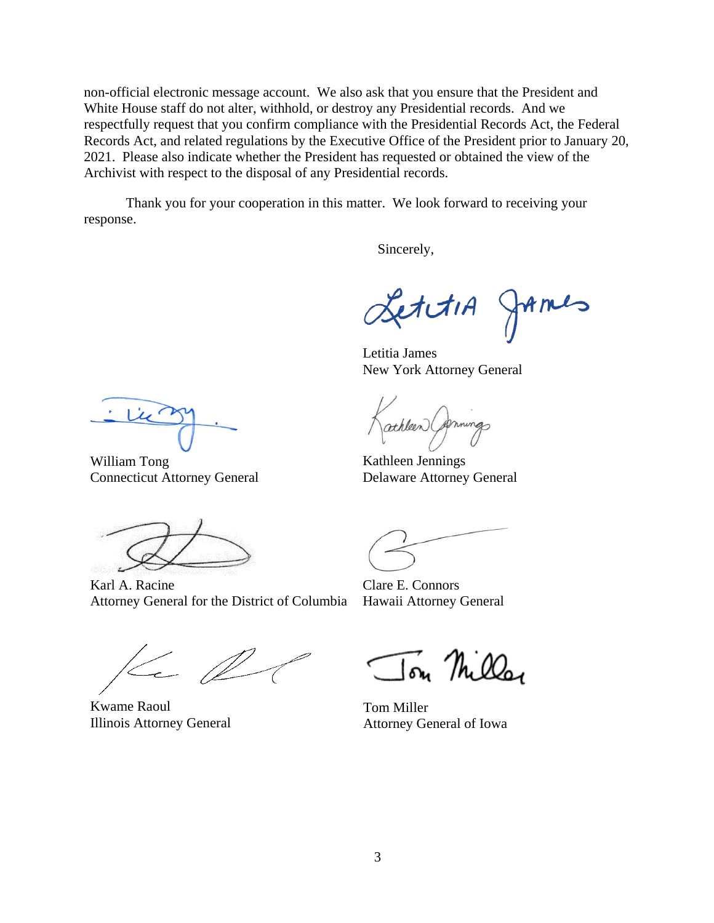non-official electronic message account. We also ask that you ensure that the President and White House staff do not alter, withhold, or destroy any Presidential records. And we respectfully request that you confirm compliance with the Presidential Records Act, the Federal Records Act, and related regulations by the Executive Office of the President prior to January 20, 2021. Please also indicate whether the President has requested or obtained the view of the Archivist with respect to the disposal of any Presidential records.

Thank you for your cooperation in this matter. We look forward to receiving your response.

Sincerely,

LettiA JAmes

Letitia James New York Attorney General

athleen

Kathleen Jennings Delaware Attorney General

William Tong Connecticut Attorney General

Karl A. Racine Attorney General for the District of Columbia

 $\leftarrow \emptyset$ 

Kwame Raoul Illinois Attorney General

Clare E. Connors Hawaii Attorney General

Ton Milla

Tom Miller Attorney General of Iowa